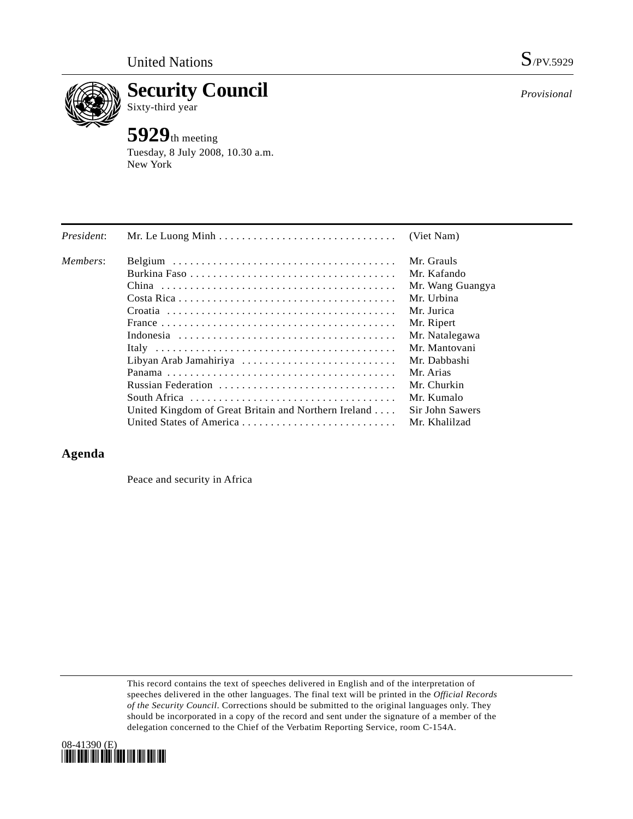

**Security Council**  Sixty-third year

# **5929**th meeting

Tuesday, 8 July 2008, 10.30 a.m. New York

| President: | Mr. Le Luong Minh $\ldots \ldots \ldots \ldots \ldots \ldots \ldots \ldots \ldots$   | (Viet Nam)       |
|------------|--------------------------------------------------------------------------------------|------------------|
| Members:   |                                                                                      | Mr. Grauls       |
|            |                                                                                      | Mr. Kafando      |
|            |                                                                                      | Mr. Wang Guangya |
|            |                                                                                      | Mr. Urbina       |
|            |                                                                                      | Mr. Jurica       |
|            |                                                                                      | Mr. Ripert       |
|            |                                                                                      | Mr. Natalegawa   |
|            |                                                                                      | Mr. Mantovani    |
|            | Libyan Arab Jamahiriya                                                               | Mr. Dabbashi     |
|            |                                                                                      | Mr. Arias        |
|            | Russian Federation                                                                   | Mr. Churkin      |
|            | South Africa $\ldots \ldots \ldots \ldots \ldots \ldots \ldots \ldots \ldots \ldots$ | Mr. Kumalo       |
|            | United Kingdom of Great Britain and Northern Ireland                                 | Sir John Sawers  |
|            |                                                                                      | Mr. Khalilzad    |

# **Agenda**

Peace and security in Africa

This record contains the text of speeches delivered in English and of the interpretation of speeches delivered in the other languages. The final text will be printed in the *Official Records of the Security Council*. Corrections should be submitted to the original languages only. They should be incorporated in a copy of the record and sent under the signature of a member of the delegation concerned to the Chief of the Verbatim Reporting Service, room C-154A.



*Provisional*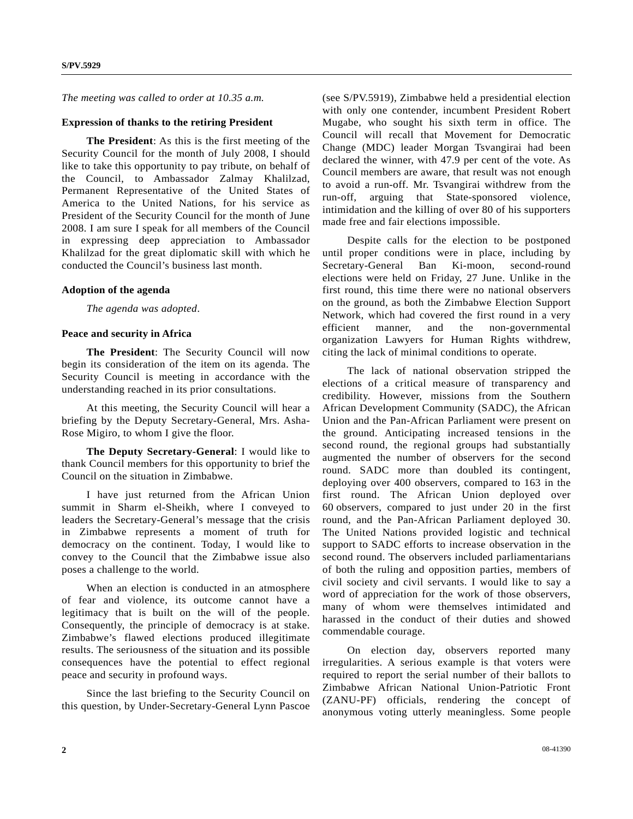*The meeting was called to order at 10.35 a.m.* 

#### **Expression of thanks to the retiring President**

**The President**: As this is the first meeting of the Security Council for the month of July 2008, I should like to take this opportunity to pay tribute, on behalf of the Council, to Ambassador Zalmay Khalilzad, Permanent Representative of the United States of America to the United Nations, for his service as President of the Security Council for the month of June 2008. I am sure I speak for all members of the Council in expressing deep appreciation to Ambassador Khalilzad for the great diplomatic skill with which he conducted the Council's business last month.

## **Adoption of the agenda**

*The agenda was adopted*.

## **Peace and security in Africa**

**The President**: The Security Council will now begin its consideration of the item on its agenda. The Security Council is meeting in accordance with the understanding reached in its prior consultations.

 At this meeting, the Security Council will hear a briefing by the Deputy Secretary-General, Mrs. Asha-Rose Migiro, to whom I give the floor.

**The Deputy Secretary-General**: I would like to thank Council members for this opportunity to brief the Council on the situation in Zimbabwe.

 I have just returned from the African Union summit in Sharm el-Sheikh, where I conveyed to leaders the Secretary-General's message that the crisis in Zimbabwe represents a moment of truth for democracy on the continent. Today, I would like to convey to the Council that the Zimbabwe issue also poses a challenge to the world.

 When an election is conducted in an atmosphere of fear and violence, its outcome cannot have a legitimacy that is built on the will of the people. Consequently, the principle of democracy is at stake. Zimbabwe's flawed elections produced illegitimate results. The seriousness of the situation and its possible consequences have the potential to effect regional peace and security in profound ways.

 Since the last briefing to the Security Council on this question, by Under-Secretary-General Lynn Pascoe (see S/PV.5919), Zimbabwe held a presidential election with only one contender, incumbent President Robert Mugabe, who sought his sixth term in office. The Council will recall that Movement for Democratic Change (MDC) leader Morgan Tsvangirai had been declared the winner, with 47.9 per cent of the vote. As Council members are aware, that result was not enough to avoid a run-off. Mr. Tsvangirai withdrew from the run-off, arguing that State-sponsored violence, intimidation and the killing of over 80 of his supporters made free and fair elections impossible.

 Despite calls for the election to be postponed until proper conditions were in place, including by Secretary-General Ban Ki-moon, second-round elections were held on Friday, 27 June. Unlike in the first round, this time there were no national observers on the ground, as both the Zimbabwe Election Support Network, which had covered the first round in a very efficient manner, and the non-governmental organization Lawyers for Human Rights withdrew, citing the lack of minimal conditions to operate.

 The lack of national observation stripped the elections of a critical measure of transparency and credibility. However, missions from the Southern African Development Community (SADC), the African Union and the Pan-African Parliament were present on the ground. Anticipating increased tensions in the second round, the regional groups had substantially augmented the number of observers for the second round. SADC more than doubled its contingent, deploying over 400 observers, compared to 163 in the first round. The African Union deployed over 60 observers, compared to just under 20 in the first round, and the Pan-African Parliament deployed 30. The United Nations provided logistic and technical support to SADC efforts to increase observation in the second round. The observers included parliamentarians of both the ruling and opposition parties, members of civil society and civil servants. I would like to say a word of appreciation for the work of those observers, many of whom were themselves intimidated and harassed in the conduct of their duties and showed commendable courage.

 On election day, observers reported many irregularities. A serious example is that voters were required to report the serial number of their ballots to Zimbabwe African National Union-Patriotic Front (ZANU-PF) officials, rendering the concept of anonymous voting utterly meaningless. Some people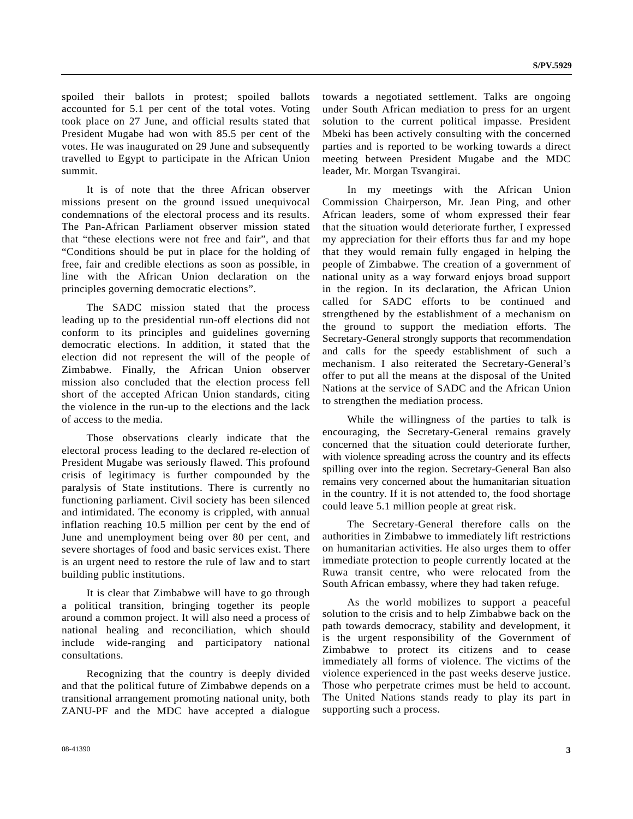spoiled their ballots in protest; spoiled ballots accounted for 5.1 per cent of the total votes. Voting took place on 27 June, and official results stated that President Mugabe had won with 85.5 per cent of the votes. He was inaugurated on 29 June and subsequently travelled to Egypt to participate in the African Union summit.

 It is of note that the three African observer missions present on the ground issued unequivocal condemnations of the electoral process and its results. The Pan-African Parliament observer mission stated that "these elections were not free and fair", and that "Conditions should be put in place for the holding of free, fair and credible elections as soon as possible, in line with the African Union declaration on the principles governing democratic elections".

 The SADC mission stated that the process leading up to the presidential run-off elections did not conform to its principles and guidelines governing democratic elections. In addition, it stated that the election did not represent the will of the people of Zimbabwe. Finally, the African Union observer mission also concluded that the election process fell short of the accepted African Union standards, citing the violence in the run-up to the elections and the lack of access to the media.

 Those observations clearly indicate that the electoral process leading to the declared re-election of President Mugabe was seriously flawed. This profound crisis of legitimacy is further compounded by the paralysis of State institutions. There is currently no functioning parliament. Civil society has been silenced and intimidated. The economy is crippled, with annual inflation reaching 10.5 million per cent by the end of June and unemployment being over 80 per cent, and severe shortages of food and basic services exist. There is an urgent need to restore the rule of law and to start building public institutions.

 It is clear that Zimbabwe will have to go through a political transition, bringing together its people around a common project. It will also need a process of national healing and reconciliation, which should include wide-ranging and participatory national consultations.

 Recognizing that the country is deeply divided and that the political future of Zimbabwe depends on a transitional arrangement promoting national unity, both ZANU-PF and the MDC have accepted a dialogue

towards a negotiated settlement. Talks are ongoing under South African mediation to press for an urgent solution to the current political impasse. President Mbeki has been actively consulting with the concerned parties and is reported to be working towards a direct meeting between President Mugabe and the MDC leader, Mr. Morgan Tsvangirai.

 In my meetings with the African Union Commission Chairperson, Mr. Jean Ping, and other African leaders, some of whom expressed their fear that the situation would deteriorate further, I expressed my appreciation for their efforts thus far and my hope that they would remain fully engaged in helping the people of Zimbabwe. The creation of a government of national unity as a way forward enjoys broad support in the region. In its declaration, the African Union called for SADC efforts to be continued and strengthened by the establishment of a mechanism on the ground to support the mediation efforts. The Secretary-General strongly supports that recommendation and calls for the speedy establishment of such a mechanism. I also reiterated the Secretary-General's offer to put all the means at the disposal of the United Nations at the service of SADC and the African Union to strengthen the mediation process.

 While the willingness of the parties to talk is encouraging, the Secretary-General remains gravely concerned that the situation could deteriorate further, with violence spreading across the country and its effects spilling over into the region. Secretary-General Ban also remains very concerned about the humanitarian situation in the country. If it is not attended to, the food shortage could leave 5.1 million people at great risk.

 The Secretary-General therefore calls on the authorities in Zimbabwe to immediately lift restrictions on humanitarian activities. He also urges them to offer immediate protection to people currently located at the Ruwa transit centre, who were relocated from the South African embassy, where they had taken refuge.

 As the world mobilizes to support a peaceful solution to the crisis and to help Zimbabwe back on the path towards democracy, stability and development, it is the urgent responsibility of the Government of Zimbabwe to protect its citizens and to cease immediately all forms of violence. The victims of the violence experienced in the past weeks deserve justice. Those who perpetrate crimes must be held to account. The United Nations stands ready to play its part in supporting such a process.